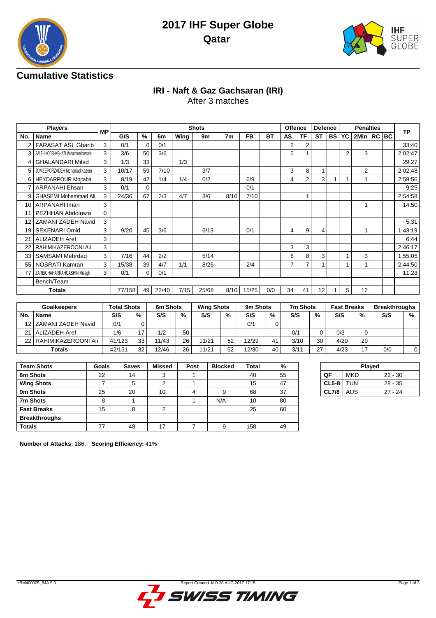



## **Cumulative Statistics**

# **IRI - Naft & Gaz Gachsaran (IRI)**

After 3 matches

|      | <b>Players</b>                    | <b>MP</b> |        |             |       |      | <b>Shots</b> |      |           |           | <b>Offence</b> |                | <b>Defence</b> |           | <b>Penalties</b> |                |  |  | <b>TP</b> |
|------|-----------------------------------|-----------|--------|-------------|-------|------|--------------|------|-----------|-----------|----------------|----------------|----------------|-----------|------------------|----------------|--|--|-----------|
| No.  | Name                              |           | G/S    | $\%$        | 6m    | Wing | 9m           | 7m   | <b>FB</b> | <b>BT</b> | <b>AS</b>      | TF             | <b>ST</b>      | <b>BS</b> | <b>YC</b>        | 2Min   RC   BC |  |  |           |
|      | <b>FARASAT ASL Gharib</b>         | 3         | 0/1    | 0           | 0/1   |      |              |      |           |           | 2              | 2              |                |           |                  |                |  |  | 33:40     |
| 3    | SALEHIKOOSHKGHAZI Mohammadhossein | 3         | 3/6    | 50          | 3/6   |      |              |      |           |           | 5              |                |                |           | $\overline{2}$   | 3              |  |  | 2:02:47   |
| 4    | <b>GHALANDARI Milad</b>           | 3         | 1/3    | 33          |       | 1/3  |              |      |           |           |                |                |                |           |                  |                |  |  | 29:27     |
|      | JOMEEPORZADEH Mohamad Kazem       | 3         | 10/17  | 59          | 7/10  |      | 3/7          |      |           |           | 3              | 8              |                |           |                  | 2              |  |  | 2:02:48   |
| 6    | <b>HEYDARPOUR Mojtaba</b>         | 3         | 8/19   | 42          | 1/4   | 1/4  | 0/2          |      | 6/9       |           | 4              | $\overline{2}$ | 3              |           |                  |                |  |  | 2:58:56   |
|      | <b>ARPANAHI Ehsan</b>             | 3         | 0/1    | $\mathbf 0$ |       |      |              |      | 0/1       |           |                |                |                |           |                  |                |  |  | 9:25      |
| 9    | <b>GHASEMI Mohammad Ali</b>       | 3         | 24/36  | 67          | 2/3   | 4/7  | 3/6          | 8/10 | 7/10      |           |                |                |                |           |                  |                |  |  | 2:54:58   |
| 10   | ARPANAHI Iman                     | 3         |        |             |       |      |              |      |           |           |                |                |                |           |                  |                |  |  | 14:50     |
|      | PEZHHAN Abdolreza                 | 0         |        |             |       |      |              |      |           |           |                |                |                |           |                  |                |  |  |           |
|      | <b>ZAMANI ZADEH Navid</b>         | 3         |        |             |       |      |              |      |           |           |                |                |                |           |                  |                |  |  | 5:31      |
| 19   | SEKENARI Omid                     | 3         | 9/20   | 45          | 3/6   |      | 6/13         |      | 0/1       |           | 4              | 9              | 4              |           |                  |                |  |  | 1:43:19   |
| 21   | <b>ALIZADEH Aref</b>              | 3         |        |             |       |      |              |      |           |           |                |                |                |           |                  |                |  |  | 6:44      |
|      | RAHIMIKAZEROONI Ali               | 3         |        |             |       |      |              |      |           |           | 3              | 3              |                |           |                  |                |  |  | 2:46:17   |
| 33   | <b>SAMSAMI Mehrdad</b>            | 3         | 7/16   | 44          | 2/2   |      | 5/14         |      |           |           | 6              | 8              | 3              |           |                  | 3              |  |  | 1:55:05   |
| 55 l | NOSRATI Kamran                    | 3         | 15/38  | 39          | 4/7   | 1/1  | 8/26         |      | 2/4       |           | $\overline{7}$ | 7              |                |           |                  |                |  |  | 2:44:50   |
|      | ZAREICHAHARRAHGASHIN Misagh       | 3         | 0/1    | 0           | 0/1   |      |              |      |           |           |                |                |                |           |                  |                |  |  | 11:23     |
|      | Bench/Team                        |           |        |             |       |      |              |      |           |           |                |                |                |           |                  |                |  |  |           |
|      | <b>Totals</b>                     |           | 77/158 | 49          | 22/40 | 7/15 | 25/68        | 8/10 | 15/25     | 0/0       | 34             | 41             | 12             |           | 5                | 12             |  |  |           |

| <b>Goalkeepers</b> |                          | <b>Total Shots</b> |    | 6m Shots |    | <b>Wing Shots</b> |    | 9m Shots |    | 7m Shots |    | <b>Fast Breaks</b> |    | <b>Breakthroughs</b> |   |
|--------------------|--------------------------|--------------------|----|----------|----|-------------------|----|----------|----|----------|----|--------------------|----|----------------------|---|
| No.                | <b>Name</b>              | S/S                | %  | S/S      | %  | S/S               | %  | S/S      | %  | S/S      | %  | S/S                | %  | S/S                  | % |
|                    | 12 ZAMANI ZADEH Navid    | 0/1                |    |          |    |                   |    | 0/1      |    |          |    |                    |    |                      |   |
| 21                 | ALIZADEH Aref            | 1/6                | 17 | 1/2      | 50 |                   |    |          |    | 0/1      | ۵  | 0/3                |    |                      |   |
|                    | 22   RAHIMIKAZEROONI Ali | 41/123             | 33 | 11/43    | 26 | 11/21             | 52 | 12/29    | 41 | 3/10     | 30 | 4/20               | 20 |                      |   |
|                    | <b>Totals</b>            | 42/131             | 32 | 12/46    | 26 | 11/21             | 52 | 12/30    | 40 | 3/11     | 27 | 4/23               | 17 | 0/0                  |   |

| <b>Team Shots</b>    | Goals | <b>Saves</b> | Missed        | Post | <b>Blocked</b> | Total | %  |
|----------------------|-------|--------------|---------------|------|----------------|-------|----|
| 6m Shots             | 22    | 14           | 3             |      |                | 40    | 55 |
| <b>Wing Shots</b>    |       | 5            | 2             |      |                | 15    | 47 |
| 9m Shots             | 25    | 20           | 10            | 4    | 9              | 68    | 37 |
| 7m Shots             | 8     |              |               |      | N/A            | 10    | 80 |
| <b>Fast Breaks</b>   | 15    | 8            | $\mathcal{P}$ |      |                | 25    | 60 |
| <b>Breakthroughs</b> |       |              |               |      |                |       |    |
| <b>Totals</b>        | 77    | 48           | 17            |      | 9              | 158   | 49 |

|              | Played     |           |  |  |  |  |  |  |  |
|--------------|------------|-----------|--|--|--|--|--|--|--|
| ΟF           | <b>MKD</b> | $22 - 30$ |  |  |  |  |  |  |  |
| $CL5-8$ TUN  |            | $28 - 35$ |  |  |  |  |  |  |  |
| <b>CL7/8</b> | AUS        | 27 - 24   |  |  |  |  |  |  |  |

**Number of Attacks:** 186, **Scoring Efficiency:** 41%

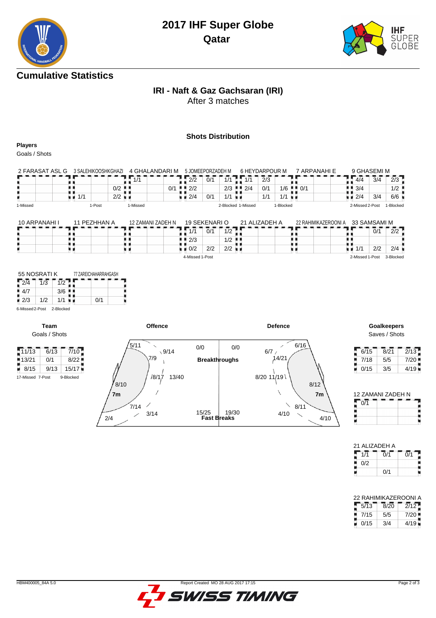

## **Cumulative Statistics**

# **IRI - Naft & Gaz Gachsaran (IRI)**

After 3 matches

### **Shots Distribution**

**Players**

Goals / Shots

| 2 FARASAT ASL<br>G | 3 SALEHIKOOSHKGHAZI |                      | 4 GHALANDARI M |     |      | 5 JOMEEPORZADEH M |     |                                           | 6 HEYDARPOUR M |                                   | 7 ARPANAHI F |                 | 9 GHASEMI M |           |
|--------------------|---------------------|----------------------|----------------|-----|------|-------------------|-----|-------------------------------------------|----------------|-----------------------------------|--------------|-----------------|-------------|-----------|
|                    |                     |                      | -414           |     | ריר  | 0/1               |     | 1/1                                       | 2/3            |                                   |              | 4/4             | 3/4         | 2/3       |
|                    |                     | $0/2$ .              |                | 0/1 | 12/2 |                   |     | $2/3$ $\blacksquare$ $\blacksquare$ $2/4$ | 0/1            | $1/6$ $\parallel$ $\parallel$ 0/1 |              | 3/4             |             | 1/2       |
|                    | 1/1                 | $2/2$ $\blacksquare$ |                |     | 2/4  | 0/1               | 4/4 |                                           | 1/1            | 1/1                               |              | 2/4             | 3/4         | 6/6       |
| 1-Missed           | l-Post              |                      | 1-Missed       |     |      |                   |     | 2-Blocked 1-Missed                        |                | 1-Blocked                         |              | 2-Missed 2-Post |             | 1-Blocked |

| 10 ARPANAHI I | 11 PFZHHAN A | 12 ZAMANI ZADEH N | 19 SEKENARI O      |     |                      | 21 ALIZADEH A | 22 RAHIMIKAZEROONI A 33 SAMSAMI M |                 |     |           |
|---------------|--------------|-------------------|--------------------|-----|----------------------|---------------|-----------------------------------|-----------------|-----|-----------|
|               |              |                   | 1/1                | 0/1 | 1/2                  |               |                                   |                 | 0/1 | 2/2       |
|               |              |                   | 12/3               |     | $1/2$ $\blacksquare$ |               |                                   |                 |     |           |
|               |              |                   | $\blacksquare$ 0/2 | 2/2 | $2/2$ in             |               |                                   | 1/1             | 2/2 | 2/4       |
|               |              |                   | 4-Missed 1-Post    |     |                      |               |                                   | 2-Missed 1-Post |     | 3-Blocked |

|     | 55 NOSRATI K |     | 77 ZAREICHAHARRAHGASH |
|-----|--------------|-----|-----------------------|
| 2/4 | 1/3          |     |                       |
| 4/7 |              | 3/6 |                       |
| 2/3 | 1/2          | 1/1 | 0/1                   |
|     |              |     |                       |

6-Missed 2-Post 2-Blocked

 $\begin{array}{|c|c|c|}\n\hline\n13/21 & 0/1 \\
\hline\n8/15 & 9/1\n\end{array}$ 

**Team** Goals / Shots



Saves / Shots

| 6/15 | 8/21 | 2/13 |
|------|------|------|
| 7/18 | 5/5  | 7/20 |
| 0/15 | 3/5  | 4/19 |

| 12 ZAMANI ZADEH N |  |
|-------------------|--|
| $\Omega/1$        |  |
|                   |  |
|                   |  |

| 21 ALIZADEH A |     |     |
|---------------|-----|-----|
| 1/1           | 0/1 | 0/1 |
| 0/2           |     |     |
|               | 0/1 |     |

| 22 RAHIMIKAZEROONI A      |      |      |
|---------------------------|------|------|
| $\overline{1\sqrt{5/13}}$ | 8/20 | 2/12 |
| 7/4E                      | E IE | 7/20 |

| 7/15 | מות  | 7/20 |
|------|------|------|
| 0/15 | ـ4/4 | 4/19 |

Į